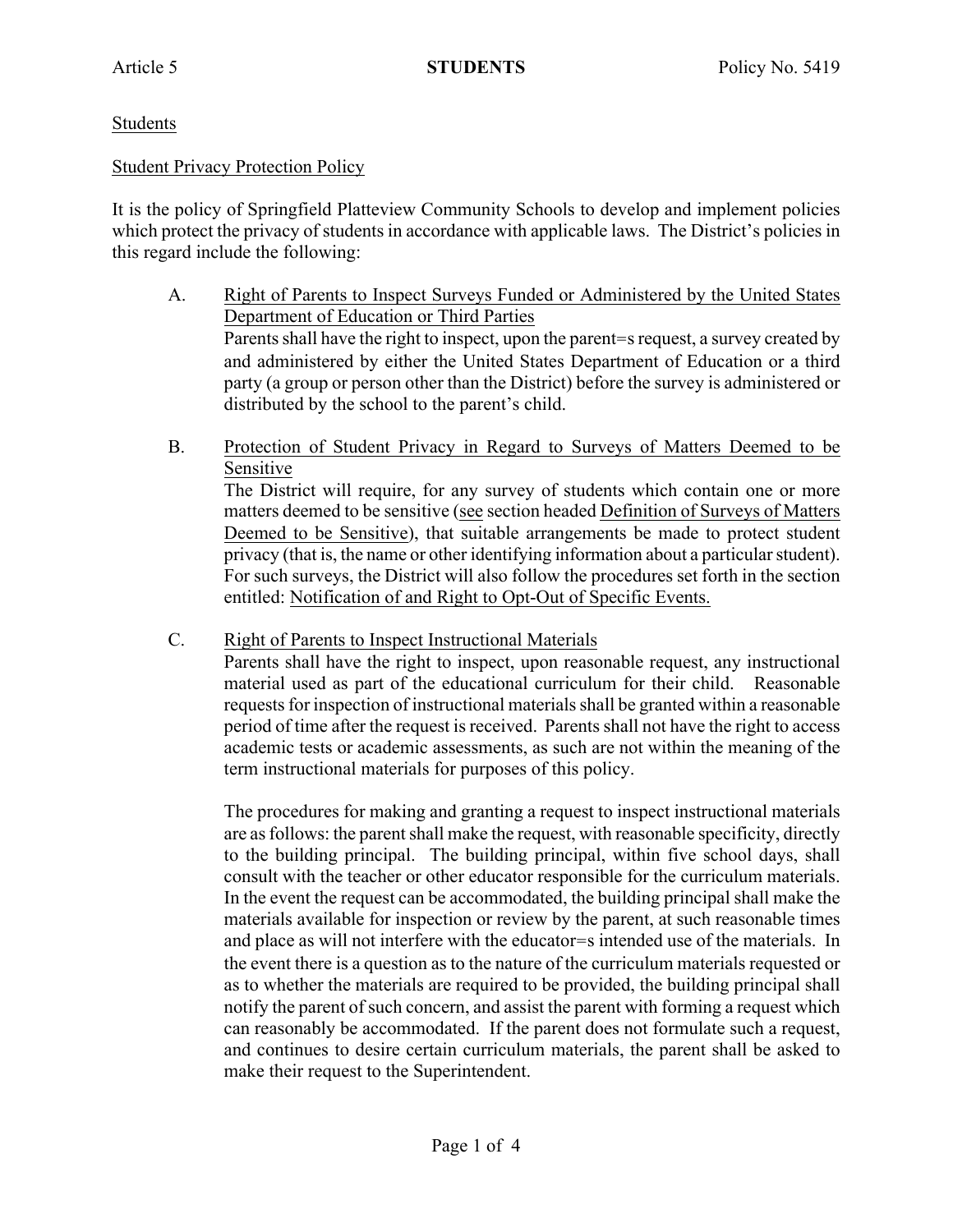# Students

## Student Privacy Protection Policy

It is the policy of Springfield Platteview Community Schools to develop and implement policies which protect the privacy of students in accordance with applicable laws. The District's policies in this regard include the following:

- A. Right of Parents to Inspect Surveys Funded or Administered by the United States Department of Education or Third Parties Parents shall have the right to inspect, upon the parent=s request, a survey created by and administered by either the United States Department of Education or a third party (a group or person other than the District) before the survey is administered or distributed by the school to the parent's child.
- B. Protection of Student Privacy in Regard to Surveys of Matters Deemed to be Sensitive The District will require, for any survey of students which contain one or more matters deemed to be sensitive (see section headed Definition of Surveys of Matters Deemed to be Sensitive), that suitable arrangements be made to protect student privacy (that is, the name or other identifying information about a particular student).

For such surveys, the District will also follow the procedures set forth in the section entitled: Notification of and Right to Opt-Out of Specific Events.

C. Right of Parents to Inspect Instructional Materials

Parents shall have the right to inspect, upon reasonable request, any instructional material used as part of the educational curriculum for their child. Reasonable requests for inspection of instructional materials shall be granted within a reasonable period of time after the request is received. Parents shall not have the right to access academic tests or academic assessments, as such are not within the meaning of the term instructional materials for purposes of this policy.

The procedures for making and granting a request to inspect instructional materials are as follows: the parent shall make the request, with reasonable specificity, directly to the building principal. The building principal, within five school days, shall consult with the teacher or other educator responsible for the curriculum materials. In the event the request can be accommodated, the building principal shall make the materials available for inspection or review by the parent, at such reasonable times and place as will not interfere with the educator=s intended use of the materials. In the event there is a question as to the nature of the curriculum materials requested or as to whether the materials are required to be provided, the building principal shall notify the parent of such concern, and assist the parent with forming a request which can reasonably be accommodated. If the parent does not formulate such a request, and continues to desire certain curriculum materials, the parent shall be asked to make their request to the Superintendent.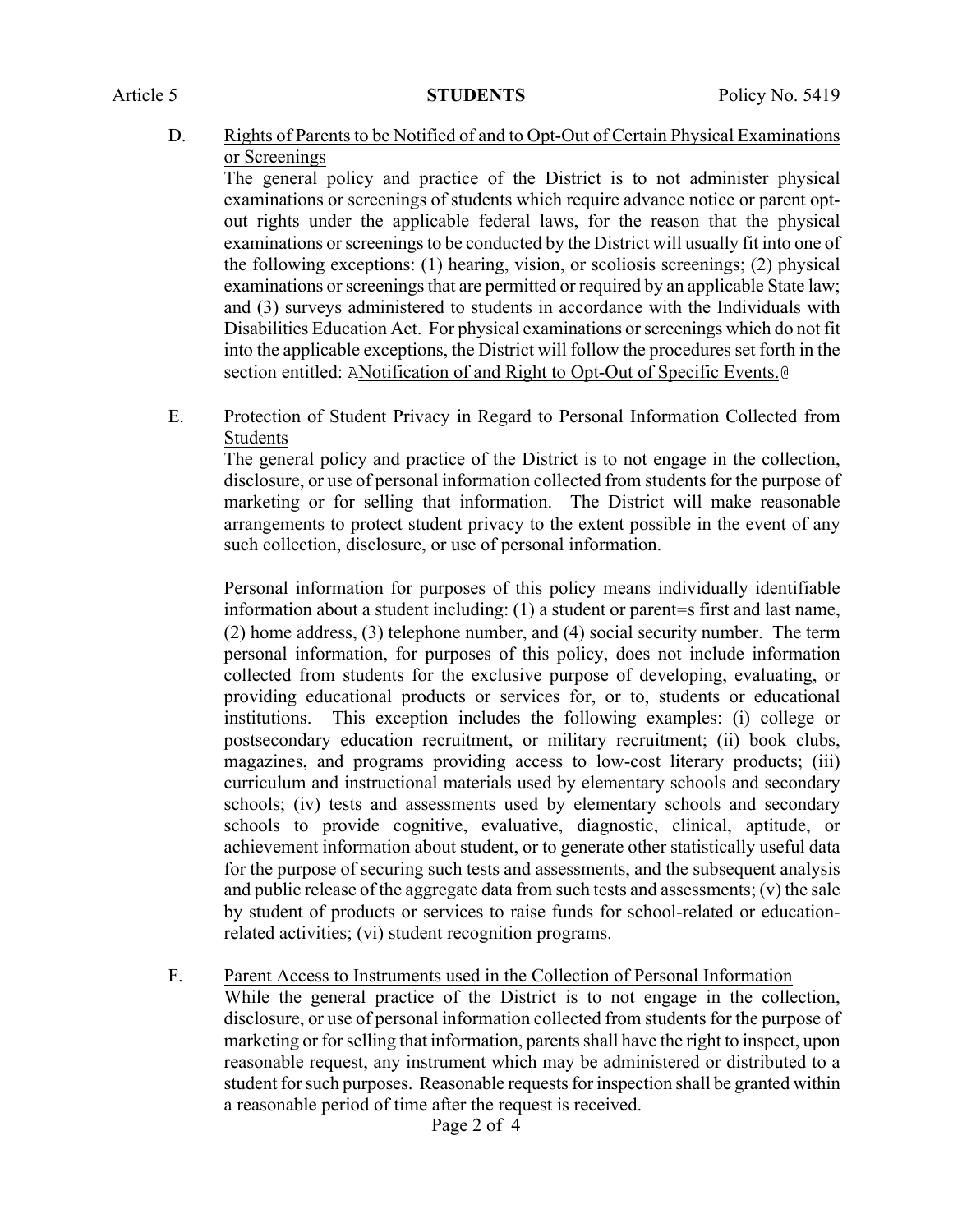D. Rights of Parents to be Notified of and to Opt-Out of Certain Physical Examinations or Screenings

The general policy and practice of the District is to not administer physical examinations or screenings of students which require advance notice or parent optout rights under the applicable federal laws, for the reason that the physical examinations or screenings to be conducted by the District will usually fit into one of the following exceptions: (1) hearing, vision, or scoliosis screenings; (2) physical examinations or screenings that are permitted or required by an applicable State law; and (3) surveys administered to students in accordance with the Individuals with Disabilities Education Act. For physical examinations or screenings which do not fit into the applicable exceptions, the District will follow the procedures set forth in the section entitled: ANotification of and Right to Opt-Out of Specific Events.@

E. Protection of Student Privacy in Regard to Personal Information Collected from **Students** 

The general policy and practice of the District is to not engage in the collection, disclosure, or use of personal information collected from students for the purpose of marketing or for selling that information. The District will make reasonable arrangements to protect student privacy to the extent possible in the event of any such collection, disclosure, or use of personal information.

Personal information for purposes of this policy means individually identifiable information about a student including: (1) a student or parent=s first and last name, (2) home address, (3) telephone number, and (4) social security number. The term personal information, for purposes of this policy, does not include information collected from students for the exclusive purpose of developing, evaluating, or providing educational products or services for, or to, students or educational institutions. This exception includes the following examples: (i) college or postsecondary education recruitment, or military recruitment; (ii) book clubs, magazines, and programs providing access to low-cost literary products; (iii) curriculum and instructional materials used by elementary schools and secondary schools; (iv) tests and assessments used by elementary schools and secondary schools to provide cognitive, evaluative, diagnostic, clinical, aptitude, or achievement information about student, or to generate other statistically useful data for the purpose of securing such tests and assessments, and the subsequent analysis and public release of the aggregate data from such tests and assessments; (v) the sale by student of products or services to raise funds for school-related or educationrelated activities; (vi) student recognition programs.

F. Parent Access to Instruments used in the Collection of Personal Information While the general practice of the District is to not engage in the collection, disclosure, or use of personal information collected from students for the purpose of marketing or for selling that information, parents shall have the right to inspect, upon reasonable request, any instrument which may be administered or distributed to a student for such purposes. Reasonable requests for inspection shall be granted within

a reasonable period of time after the request is received.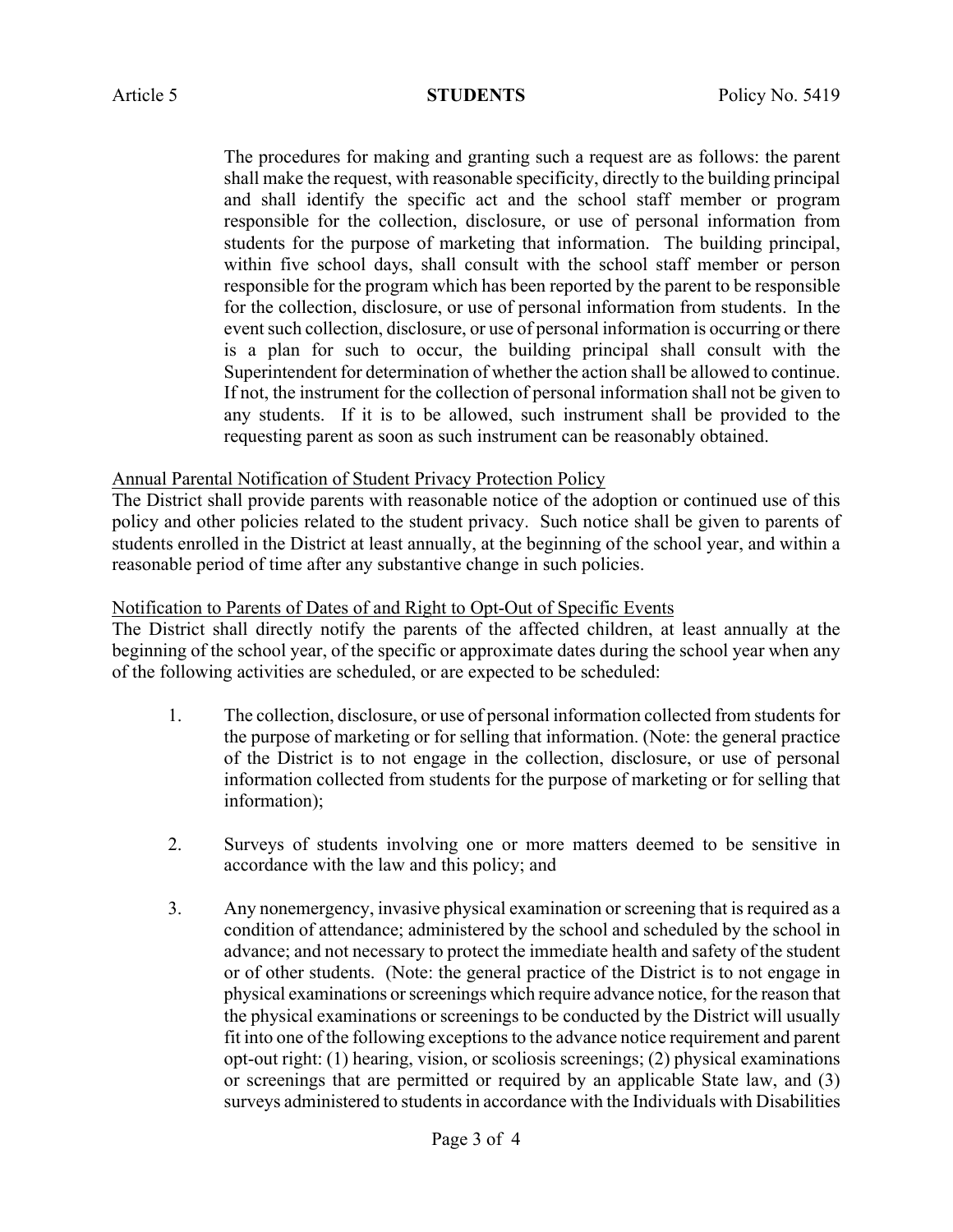The procedures for making and granting such a request are as follows: the parent shall make the request, with reasonable specificity, directly to the building principal and shall identify the specific act and the school staff member or program responsible for the collection, disclosure, or use of personal information from students for the purpose of marketing that information. The building principal, within five school days, shall consult with the school staff member or person responsible for the program which has been reported by the parent to be responsible for the collection, disclosure, or use of personal information from students. In the event such collection, disclosure, or use of personal information is occurring or there is a plan for such to occur, the building principal shall consult with the Superintendent for determination of whether the action shall be allowed to continue. If not, the instrument for the collection of personal information shall not be given to any students. If it is to be allowed, such instrument shall be provided to the requesting parent as soon as such instrument can be reasonably obtained.

# Annual Parental Notification of Student Privacy Protection Policy

The District shall provide parents with reasonable notice of the adoption or continued use of this policy and other policies related to the student privacy. Such notice shall be given to parents of students enrolled in the District at least annually, at the beginning of the school year, and within a reasonable period of time after any substantive change in such policies.

# Notification to Parents of Dates of and Right to Opt-Out of Specific Events

The District shall directly notify the parents of the affected children, at least annually at the beginning of the school year, of the specific or approximate dates during the school year when any of the following activities are scheduled, or are expected to be scheduled:

- 1. The collection, disclosure, or use of personal information collected from students for the purpose of marketing or for selling that information. (Note: the general practice of the District is to not engage in the collection, disclosure, or use of personal information collected from students for the purpose of marketing or for selling that information);
- 2. Surveys of students involving one or more matters deemed to be sensitive in accordance with the law and this policy; and
- 3. Any nonemergency, invasive physical examination or screening that is required as a condition of attendance; administered by the school and scheduled by the school in advance; and not necessary to protect the immediate health and safety of the student or of other students. (Note: the general practice of the District is to not engage in physical examinations or screenings which require advance notice, for the reason that the physical examinations or screenings to be conducted by the District will usually fit into one of the following exceptions to the advance notice requirement and parent opt-out right: (1) hearing, vision, or scoliosis screenings; (2) physical examinations or screenings that are permitted or required by an applicable State law, and (3) surveys administered to students in accordance with the Individuals with Disabilities